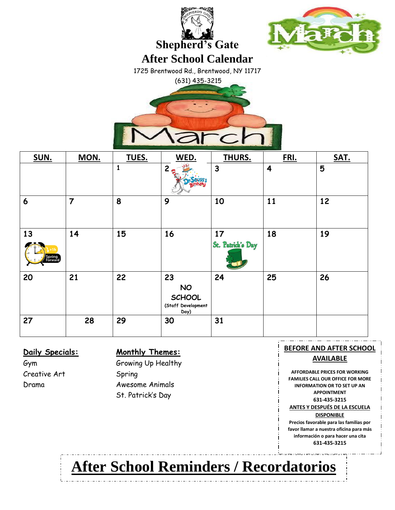



**Shepherd's Gate**

**After School Calendar**

1725 Brentwood Rd., Brentwood, NY 11717

(631) 435-3215

| SUN.                    | MON.           | TUES.        | WED.                                                           | THURS.                  | FRI. | SAT. |
|-------------------------|----------------|--------------|----------------------------------------------------------------|-------------------------|------|------|
|                         |                | $\mathbf{1}$ | 2e                                                             | $\mathbf{3}$            | 4    | 5    |
| $\boldsymbol{6}$        | $\overline{7}$ | 8            | 9                                                              | 10                      | 11   | 12   |
| 13<br>Spring<br>Forward | 14             | 15           | 16                                                             | 17<br>St. Patrick's Day | 18   | 19   |
| 20                      | 21             | 22           | 23<br><b>NO</b><br><b>SCHOOL</b><br>(Staff Development<br>Day) | 24                      | 25   | 26   |
| 27                      | 28             | 29           | 30                                                             | 31                      |      |      |

Creative Art Spring

### **Daily Specials: Monthly Themes:**

Gym Growing Up Healthy Drama Awesome Animals St. Patrick's Day

**BEFORE AND AFTER SCHOOL AVAILABLE AFFORDABLE PRICES FOR WORKING FAMILIES CALL OUR OFFICE FOR MORE INFORMATION OR TO SET UP AN APPOINTMENT 631-435-3215**

**ANTES Y DESPUÉS DE LA ESCUELA** 

**DISPONIBLE**

**Precios favorable para las familias por favor llamar a nuestra oficina para más información o para hacer una cita 631-435-3215**

# **After School Reminders / Recordatorios**